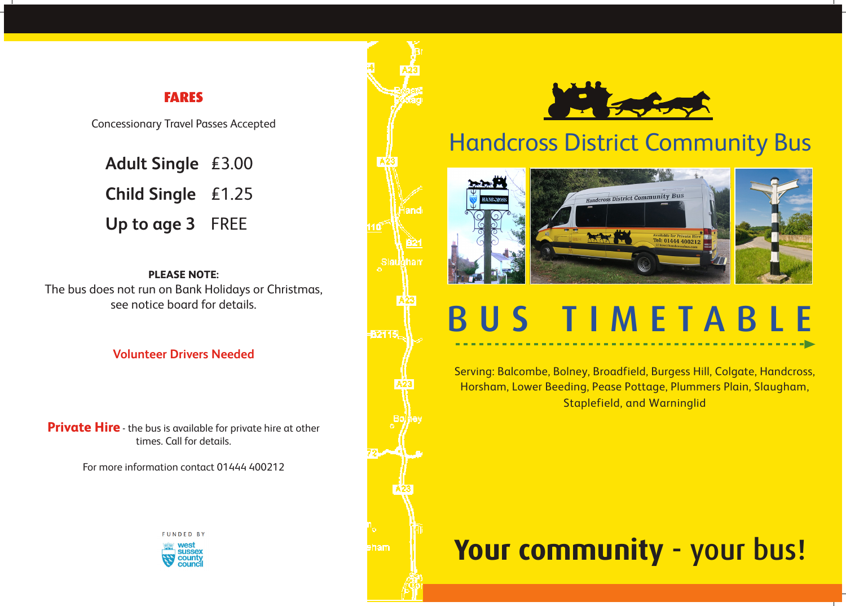### **COUND FARES** Pease Pottage The Black Swan 9.35 12.35

Handcross School 9.40 12.40 Concessionary Travel Passes Accepted

 $\mathbf{S}$   $\mathbf{S}$   $\mathbf{S}$   $\mathbf{S}$   $\mathbf{S}$   $\mathbf{S}$   $\mathbf{S}$   $\mathbf{S}$   $\mathbf{S}$   $\mathbf{S}$   $\mathbf{S}$   $\mathbf{S}$   $\mathbf{S}$   $\mathbf{S}$   $\mathbf{S}$   $\mathbf{S}$   $\mathbf{S}$   $\mathbf{S}$   $\mathbf{S}$   $\mathbf{S}$   $\mathbf{S}$   $\mathbf{S}$   $\mathbf{S}$   $\mathbf{S}$   $\mathbf{$ Bolandary Drovers Estate 9.57 nm and the 19 nm and 19 nm and 19 nm and 19 nm and 19 nm and 19 nm and 19 nm and Adult Single £3.00  $\sim$  Slaugham Church 10.05  $\sim$  10.05 12.52  $\blacksquare$  Child Single  $\pm 1.75$ **Child Single** £1.25 Lower Beeding The Old Posthouse 10.16 13.04 Horsham Blackhorse Blackhorse Way, Stop F 10.33 13.2013 13.33 13.33 13.33 13.33 13.33 13.33 13.33 13.2013 13.20 Up to age 3 FREE

**PLEASE NOTE:** PLEASE NUTE. The bus does not run on Bank Holidays or Christmas, Warninglid Half Moon 12.54 15.54 15.54 15.54 15.54 15.54 15.54 15.54 15.54 15.54 15.54 15.54 15.54 15.54 15.54 see notice board for details. Slaugham

82115

eham.

### Handcross Red Lion 13.22 16.22 16.22 16.22 16.22 16.22 16.22 16.22 16.22 16.22 16.22 16.22 16.22 16.22 16.22 16.22 16.22 16.22 16.22 16.22 16.22 16.22 16.22 16.22 16.22 16.22 16.22 16.22 16.22 16.22 16.22 16.22 16.22 16.22 **Volunteer Drivers Needed**

**Handcross Balcombe Private Hire** - the bus is available for private hire at other times. Call for details.

**Staplefield Slaugham Plain** For more information contact 01444 400212





## Handcross District Community Bus



# **META**

Serving: Balcombe, Bolney, Broadfield, Burgess Hill, Colgate, Handcross, Horsham, Lower Beeding, Pease Pottage, Plummers Plain, Slaugham, Staplefield, and Warninglid

## **Your community** - your bus!